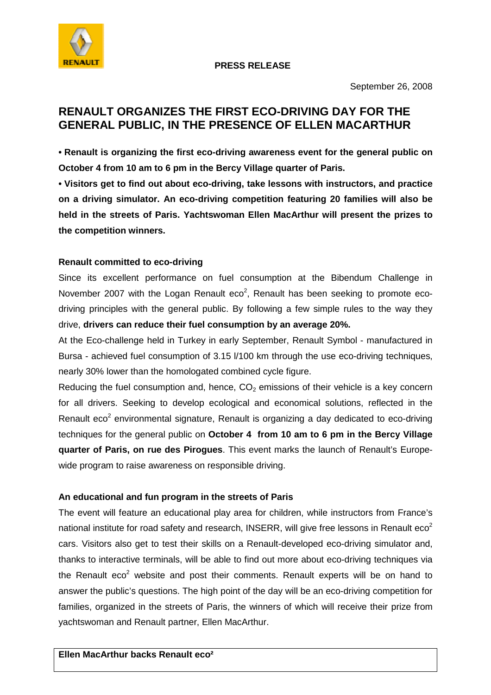

## **PRESS RELEASE**

## **RENAULT ORGANIZES THE FIRST ECO-DRIVING DAY FOR THE GENERAL PUBLIC, IN THE PRESENCE OF ELLEN MACARTHUR**

**• Renault is organizing the first eco-driving awareness event for the general public on October 4 from 10 am to 6 pm in the Bercy Village quarter of Paris.** 

**• Visitors get to find out about eco-driving, take lessons with instructors, and practice on a driving simulator. An eco-driving competition featuring 20 families will also be held in the streets of Paris. Yachtswoman Ellen MacArthur will present the prizes to the competition winners.** 

## **Renault committed to eco-driving**

Since its excellent performance on fuel consumption at the Bibendum Challenge in November 2007 with the Logan Renault eco<sup>2</sup>, Renault has been seeking to promote ecodriving principles with the general public. By following a few simple rules to the way they drive, **drivers can reduce their fuel consumption by an average 20%.** 

At the Eco-challenge held in Turkey in early September, Renault Symbol - manufactured in Bursa - achieved fuel consumption of 3.15 l/100 km through the use eco-driving techniques, nearly 30% lower than the homologated combined cycle figure.

Reducing the fuel consumption and, hence,  $CO<sub>2</sub>$  emissions of their vehicle is a key concern for all drivers. Seeking to develop ecological and economical solutions, reflected in the Renault  $e^{2}$  environmental signature, Renault is organizing a day dedicated to  $e$ co-driving techniques for the general public on **October 4 from 10 am to 6 pm in the Bercy Village quarter of Paris, on rue des Pirogues**. This event marks the launch of Renault's Europewide program to raise awareness on responsible driving.

## **An educational and fun program in the streets of Paris**

The event will feature an educational play area for children, while instructors from France's national institute for road safety and research, INSERR, will give free lessons in Renault  $e^{2}$ cars. Visitors also get to test their skills on a Renault-developed eco-driving simulator and, thanks to interactive terminals, will be able to find out more about eco-driving techniques via the Renault eco<sup>2</sup> website and post their comments. Renault experts will be on hand to answer the public's questions. The high point of the day will be an eco-driving competition for families, organized in the streets of Paris, the winners of which will receive their prize from yachtswoman and Renault partner, Ellen MacArthur.